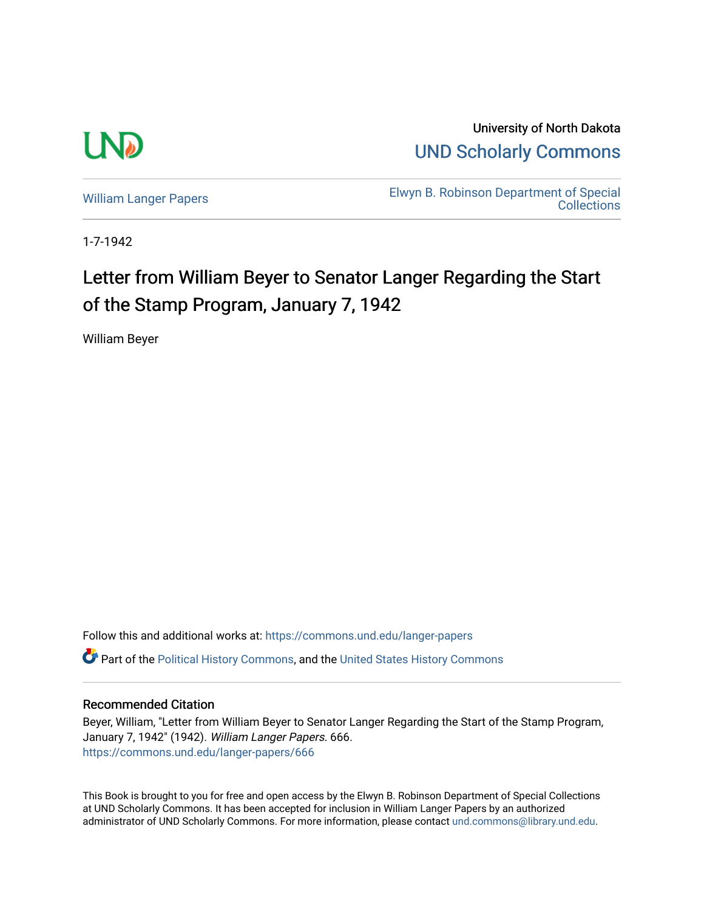

University of North Dakota [UND Scholarly Commons](https://commons.und.edu/) 

[William Langer Papers](https://commons.und.edu/langer-papers) **Elwyn B. Robinson Department of Special** [Collections](https://commons.und.edu/archives) 

1-7-1942

## Letter from William Beyer to Senator Langer Regarding the Start of the Stamp Program, January 7, 1942

William Beyer

Follow this and additional works at: [https://commons.und.edu/langer-papers](https://commons.und.edu/langer-papers?utm_source=commons.und.edu%2Flanger-papers%2F666&utm_medium=PDF&utm_campaign=PDFCoverPages)  **C** Part of the [Political History Commons,](https://network.bepress.com/hgg/discipline/505?utm_source=commons.und.edu%2Flanger-papers%2F666&utm_medium=PDF&utm_campaign=PDFCoverPages) and the [United States History Commons](https://network.bepress.com/hgg/discipline/495?utm_source=commons.und.edu%2Flanger-papers%2F666&utm_medium=PDF&utm_campaign=PDFCoverPages)

## Recommended Citation

Beyer, William, "Letter from William Beyer to Senator Langer Regarding the Start of the Stamp Program, January 7, 1942" (1942). William Langer Papers. 666. [https://commons.und.edu/langer-papers/666](https://commons.und.edu/langer-papers/666?utm_source=commons.und.edu%2Flanger-papers%2F666&utm_medium=PDF&utm_campaign=PDFCoverPages) 

This Book is brought to you for free and open access by the Elwyn B. Robinson Department of Special Collections at UND Scholarly Commons. It has been accepted for inclusion in William Langer Papers by an authorized administrator of UND Scholarly Commons. For more information, please contact [und.commons@library.und.edu.](mailto:und.commons@library.und.edu)